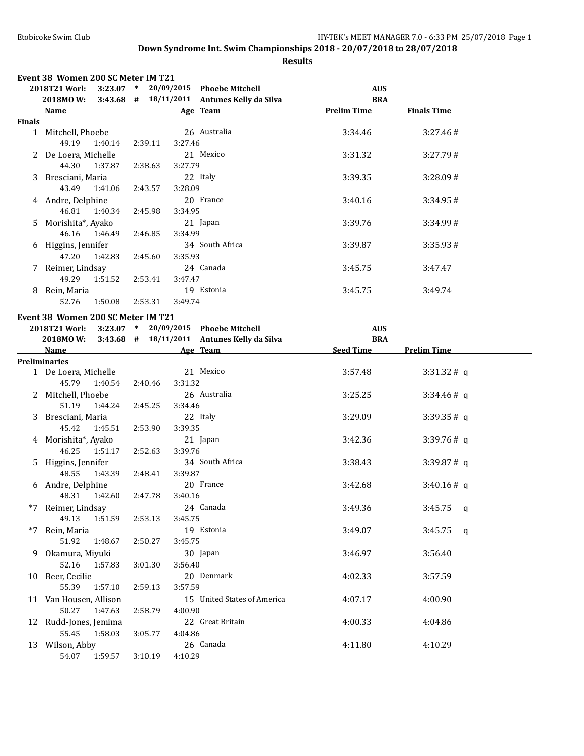|        | Event 38 Women 200 SC Meter IM T21                                                                                                                                                                                             |         |                                                       |                    |                    |
|--------|--------------------------------------------------------------------------------------------------------------------------------------------------------------------------------------------------------------------------------|---------|-------------------------------------------------------|--------------------|--------------------|
|        | 2018T21 Worl:                                                                                                                                                                                                                  |         | 3:23.07 * 20/09/2015 Phoebe Mitchell                  | <b>AUS</b>         |                    |
|        |                                                                                                                                                                                                                                |         | 2018MO W: 3:43.68 # 18/11/2011 Antunes Kelly da Silva | <b>BRA</b>         |                    |
|        | <b>Name</b>                                                                                                                                                                                                                    |         | Age Team                                              | <b>Prelim Time</b> | <b>Finals Time</b> |
| Finals |                                                                                                                                                                                                                                |         |                                                       |                    |                    |
|        | 1 Mitchell, Phoebe<br>49.19 1:40.14                                                                                                                                                                                            | 2:39.11 | 26 Australia<br>3:27.46                               | 3:34.46            | 3:27.46#           |
|        | 2 De Loera, Michelle<br>44.30 1:37.87                                                                                                                                                                                          | 2:38.63 | 21 Mexico<br>3:27.79                                  | 3:31.32            | 3:27.79#           |
|        | 3 Bresciani, Maria<br>43.49 1:41.06                                                                                                                                                                                            | 2:43.57 | 22 Italy<br>3:28.09                                   | 3:39.35            | 3:28.09#           |
|        | 4 Andre, Delphine<br>46.81  1:40.34                                                                                                                                                                                            | 2:45.98 | 20 France<br>3:34.95                                  | 3:40.16            | 3:34.95#           |
|        | 5 Morishita*, Ayako<br>46.16 1:46.49                                                                                                                                                                                           | 2:46.85 | 21 Japan<br>3:34.99                                   | 3:39.76            | 3:34.99#           |
|        | 6 Higgins, Jennifer<br>47.20  1:42.83                                                                                                                                                                                          | 2:45.60 | 34 South Africa<br>3:35.93                            | 3:39.87            | 3:35.93#           |
|        | 7 Reimer, Lindsay<br>49.29  1:51.52                                                                                                                                                                                            | 2:53.41 | 24 Canada<br>3:47.47                                  | 3:45.75            | 3:47.47            |
|        | 8 Rein, Maria<br>52.76 1:50.08                                                                                                                                                                                                 | 2:53.31 | 19 Estonia<br>3:49.74                                 | 3:45.75            | 3:49.74            |
|        |                                                                                                                                                                                                                                |         |                                                       |                    |                    |
|        | Event 38 Women 200 SC Meter IM T21                                                                                                                                                                                             |         |                                                       |                    |                    |
|        | 2018T21 Worl:                                                                                                                                                                                                                  |         | 3:23.07 * 20/09/2015 Phoebe Mitchell                  | <b>AUS</b>         |                    |
|        |                                                                                                                                                                                                                                |         | 2018MO W: 3:43.68 # 18/11/2011 Antunes Kelly da Silva | <b>BRA</b>         |                    |
|        | Name and the state of the state of the state of the state of the state of the state of the state of the state of the state of the state of the state of the state of the state of the state of the state of the state of the s |         | Age Team                                              | Seed Time          | <b>Prelim Time</b> |
|        | <b>Preliminaries</b>                                                                                                                                                                                                           |         |                                                       |                    |                    |
|        | 1 De Loera, Michelle<br>45.79 1:40.54 2:40.46                                                                                                                                                                                  |         | 21 Mexico<br>3:31.32                                  | 3:57.48            | 3:31.32#q          |
|        | 2 Mitchell, Phoebe<br>51.19 1:44.24                                                                                                                                                                                            | 2:45.25 | 26 Australia<br>3:34.46                               | 3:25.25            | 3:34.46#q          |
|        | 3 Bresciani, Maria<br>45.42 1:45.51                                                                                                                                                                                            | 2:53.90 | 22 Italy<br>3:39.35                                   | 3:29.09            | 3:39.35#q          |
|        | 4 Morishita*, Ayako<br>46.25   1:51.17                                                                                                                                                                                         | 2:52.63 | 21 Japan<br>3:39.76                                   | 3:42.36            | 3:39.76#q          |
|        | 5 Higgins, Jennifer<br>48.55 1:43.39                                                                                                                                                                                           | 2:48.41 | 34 South Africa<br>3:39.87                            | 3:38.43            | 3:39.87# q         |
|        | 6 Andre, Delphine<br>48.31  1:42.60  2:47.78  3:40.16                                                                                                                                                                          |         | 20 France                                             | 3:42.68            | 3:40.16#q          |
| $*7$   | Reimer, Lindsay<br>49.13<br>1:51.59                                                                                                                                                                                            | 2:53.13 | 24 Canada<br>3:45.75                                  | 3:49.36            | $3:45.75$ q        |
| $*7$   | Rein, Maria<br>51.92<br>1:48.67                                                                                                                                                                                                | 2:50.27 | 19 Estonia<br>3:45.75                                 | 3:49.07            | $3:45.75$ q        |
|        | 9 Okamura, Miyuki<br>52.16<br>1:57.83                                                                                                                                                                                          | 3:01.30 | 30 Japan<br>3:56.40                                   | 3:46.97            | 3:56.40            |
|        | 10 Beer, Cecilie<br>55.39<br>1:57.10                                                                                                                                                                                           | 2:59.13 | 20 Denmark<br>3:57.59                                 | 4:02.33            | 3:57.59            |
|        | 11 Van Housen, Allison<br>50.27<br>1:47.63                                                                                                                                                                                     | 2:58.79 | 15 United States of America<br>4:00.90                | 4:07.17            | 4:00.90            |
|        | 12 Rudd-Jones, Jemima<br>55.45<br>1:58.03                                                                                                                                                                                      | 3:05.77 | 22 Great Britain<br>4:04.86                           | 4:00.33            | 4:04.86            |
|        | 13 Wilson, Abby<br>54.07<br>1:59.57                                                                                                                                                                                            | 3:10.19 | 26 Canada<br>4:10.29                                  | 4:11.80            | 4:10.29            |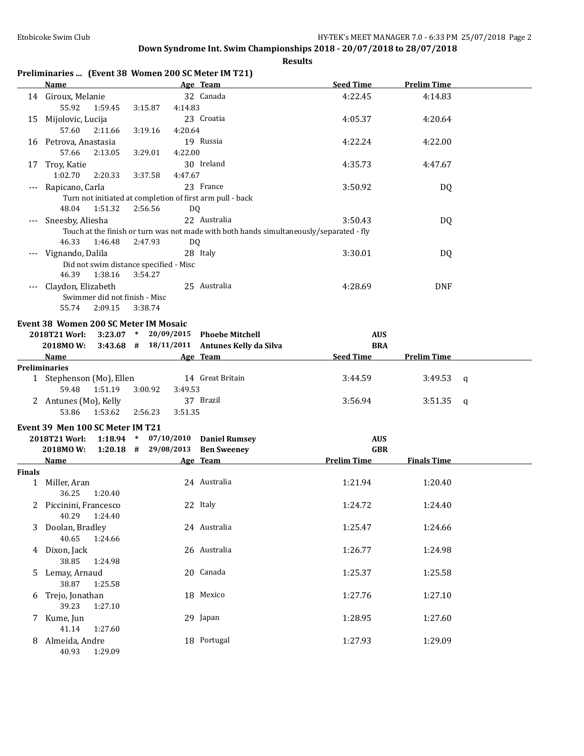**Results**

|          | Name               |         |                                        |         | Age Team                                                  | <b>Seed Time</b>                                                                        | Prelim Time |
|----------|--------------------|---------|----------------------------------------|---------|-----------------------------------------------------------|-----------------------------------------------------------------------------------------|-------------|
| 14       | Giroux, Melanie    |         |                                        |         | 32 Canada                                                 | 4:22.45                                                                                 | 4:14.83     |
|          | 55.92              | 1:59.45 | 3:15.87                                | 4:14.83 |                                                           |                                                                                         |             |
| 15       | Mijolovic, Lucija  |         |                                        |         | 23 Croatia                                                | 4:05.37                                                                                 | 4:20.64     |
|          | 57.60              | 2:11.66 | 3:19.16                                | 4:20.64 |                                                           |                                                                                         |             |
| 16       | Petrova, Anastasia |         |                                        |         | 19 Russia                                                 | 4:22.24                                                                                 | 4:22.00     |
|          | 57.66              | 2:13.05 | 3:29.01                                | 4:22.00 |                                                           |                                                                                         |             |
| 17       | Troy, Katie        |         |                                        |         | 30 Ireland                                                | 4:35.73                                                                                 | 4:47.67     |
|          | 1:02.70            | 2:20.33 | 3:37.58                                | 4:47.67 |                                                           |                                                                                         |             |
| $\cdots$ | Rapicano, Carla    |         |                                        |         | 23 France                                                 | 3:50.92                                                                                 | DQ          |
|          |                    |         |                                        |         | Turn not initiated at completion of first arm pull - back |                                                                                         |             |
|          | 48.04              | 1:51.32 | 2:56.56                                | DQ      |                                                           |                                                                                         |             |
| $\cdots$ | Sneesby, Aliesha   |         |                                        |         | 22 Australia                                              | 3:50.43                                                                                 | DQ          |
|          |                    |         |                                        |         |                                                           | Touch at the finish or turn was not made with both hands simultaneously/separated - fly |             |
|          | 46.33              | 1:46.48 | 2:47.93                                | DQ      |                                                           |                                                                                         |             |
| $---$    | Vignando, Dalila   |         |                                        |         | 28 Italy                                                  | 3:30.01                                                                                 | DQ          |
|          |                    |         | Did not swim distance specified - Misc |         |                                                           |                                                                                         |             |

**Preliminaries ... (Event 38 Women 200 SC Meter IM T21)**

46.39 1:38.16 3:54.27 --- Claydon, Elizabeth 25 Australia 4:28.69 DNF Swimmer did not finish - Misc 55.74 2:09.15 3:38.74

#### **Event 38 Women 200 SC Meter IM Mosaic**

| <b>Name</b>                 |  | Age Team                                        | <b>Seed Time</b> | <b>Prelim Time</b> |
|-----------------------------|--|-------------------------------------------------|------------------|--------------------|
| 2018MO W:                   |  | $3:43.68$ # $18/11/2011$ Antunes Kelly da Silva | <b>BRA</b>       |                    |
| $2018T21$ Worl: $3:23.07$ * |  | 20/09/2015 Phoebe Mitchell                      | <b>AUS</b>       |                    |

| <b>Preliminaries</b>   |         |                  |         |             |  |
|------------------------|---------|------------------|---------|-------------|--|
| Stephenson (Mo), Ellen |         | 14 Great Britain | 3:44.59 | $3:49.53$ q |  |
| 1:51.19<br>59.48       | 3:00.92 | 3:49.53          |         |             |  |
| 2 Antunes (Mo), Kelly  |         | 37 Brazil        | 3:56.94 | $3:51.35$ q |  |
| 1:53.62<br>53.86       | 2:56.23 | 3:51.35          |         |             |  |

#### **Event 39 Men 100 SC Meter IM T21**

|               | 2018T21 Worl:<br>2018MOW: | 1:18.94<br>$1:20.18$ # | $\ast$ | 07/10/2010<br>29/08/2013 | <b>Daniel Rumsey</b><br><b>Ben Sweeney</b> | <b>AUS</b><br><b>GBR</b> |                    |  |
|---------------|---------------------------|------------------------|--------|--------------------------|--------------------------------------------|--------------------------|--------------------|--|
|               | Name                      |                        |        |                          | Age Team                                   | <b>Prelim Time</b>       | <b>Finals Time</b> |  |
| <b>Finals</b> |                           |                        |        |                          |                                            |                          |                    |  |
|               | Miller, Aran              |                        |        |                          | 24 Australia                               | 1:21.94                  | 1:20.40            |  |
|               | 36.25                     | 1:20.40                |        |                          |                                            |                          |                    |  |
|               | Piccinini, Francesco<br>2 |                        |        |                          | 22 Italy                                   | 1:24.72                  | 1:24.40            |  |
|               | 40.29                     | 1:24.40                |        |                          |                                            |                          |                    |  |
|               | Doolan, Bradley<br>3      |                        |        |                          | 24 Australia                               | 1:25.47                  | 1:24.66            |  |
|               | 40.65                     | 1:24.66                |        |                          |                                            |                          |                    |  |
|               | Dixon, Jack<br>4          |                        |        |                          | 26 Australia                               | 1:26.77                  | 1:24.98            |  |
|               | 38.85                     | 1:24.98                |        |                          |                                            |                          |                    |  |
|               | 5.<br>Lemay, Arnaud       |                        |        |                          | 20 Canada                                  | 1:25.37                  | 1:25.58            |  |
|               | 38.87                     | 1:25.58                |        |                          |                                            |                          |                    |  |
|               | Trejo, Jonathan<br>6      |                        |        |                          | 18 Mexico                                  | 1:27.76                  | 1:27.10            |  |
|               | 39.23                     | 1:27.10                |        |                          |                                            |                          |                    |  |
|               | 7<br>Kume, Jun            |                        |        |                          | 29 Japan                                   | 1:28.95                  | 1:27.60            |  |
|               | 41.14                     | 1:27.60                |        |                          |                                            |                          |                    |  |
|               | Almeida, Andre<br>8       |                        |        |                          | 18 Portugal                                | 1:27.93                  | 1:29.09            |  |
|               | 40.93                     | 1:29.09                |        |                          |                                            |                          |                    |  |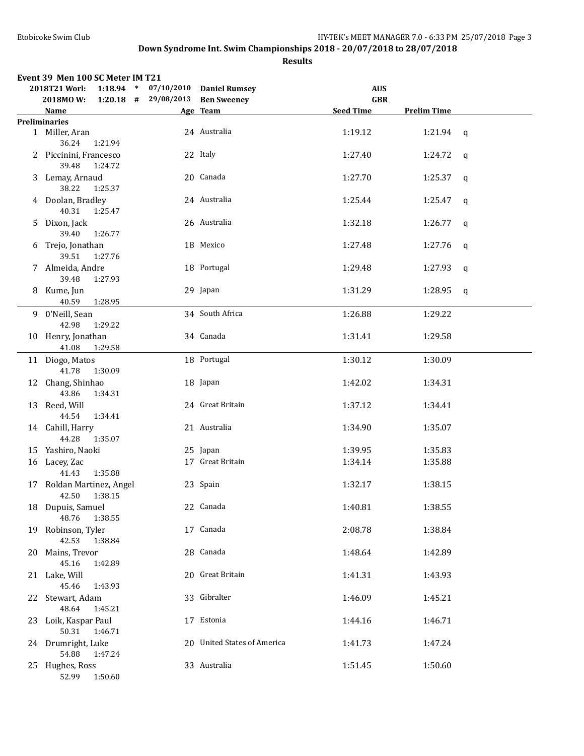|      | Event 39 Men 100 SC Meter IM T21<br>2018T21 Worl: | 1:18.94 * 07/10/2010 Daniel Rumsey |                             | <b>AUS</b>       |                    |              |
|------|---------------------------------------------------|------------------------------------|-----------------------------|------------------|--------------------|--------------|
|      | 2018MO W:                                         | $1:20.18$ # 29/08/2013 Ben Sweeney |                             | <b>GBR</b>       |                    |              |
|      | Name                                              |                                    | Age Team                    | <b>Seed Time</b> | <b>Prelim Time</b> |              |
|      | <b>Preliminaries</b>                              |                                    |                             |                  |                    |              |
|      | 1 Miller, Aran                                    |                                    | 24 Australia                | 1:19.12          | 1:21.94 $q$        |              |
|      | 36.24<br>1:21.94                                  |                                    |                             |                  |                    |              |
|      | 2 Piccinini, Francesco                            |                                    | 22 Italy                    | 1:27.40          | 1:24.72            | $\mathsf{q}$ |
|      | 39.48<br>1:24.72                                  |                                    |                             |                  |                    |              |
|      | 3 Lemay, Arnaud                                   |                                    | 20 Canada                   | 1:27.70          | 1:25.37            | q            |
|      | 38.22<br>1:25.37                                  |                                    |                             |                  |                    |              |
|      | 4 Doolan, Bradley                                 |                                    | 24 Australia                | 1:25.44          | 1:25.47            | $\mathbf q$  |
|      | 40.31<br>1:25.47                                  |                                    |                             |                  |                    |              |
|      | 5 Dixon, Jack                                     |                                    | 26 Australia                | 1:32.18          | 1:26.77            | $\mathsf{q}$ |
|      | 39.40<br>1:26.77                                  |                                    |                             |                  |                    |              |
|      | 6 Trejo, Jonathan                                 |                                    | 18 Mexico                   | 1:27.48          | 1:27.76            | q            |
|      | 39.51<br>1:27.76                                  |                                    |                             |                  |                    |              |
|      | 7 Almeida, Andre                                  |                                    | 18 Portugal                 | 1:29.48          | 1:27.93            | q            |
|      | 39.48<br>1:27.93                                  |                                    |                             |                  |                    |              |
|      | 8 Kume, Jun                                       |                                    | 29 Japan                    | 1:31.29          | 1:28.95            | $\mathbf{q}$ |
|      | 40.59 1:28.95                                     |                                    |                             |                  |                    |              |
|      | 9 0'Neill, Sean                                   |                                    | 34 South Africa             | 1:26.88          | 1:29.22            |              |
|      | 42.98<br>1:29.22                                  |                                    |                             |                  |                    |              |
|      | 10 Henry, Jonathan                                |                                    | 34 Canada                   | 1:31.41          | 1:29.58            |              |
|      | 41.08 1:29.58                                     |                                    |                             |                  |                    |              |
|      | 11 Diogo, Matos                                   |                                    | 18 Portugal                 | 1:30.12          | 1:30.09            |              |
|      | 41.78<br>1:30.09                                  |                                    |                             |                  |                    |              |
|      | 12 Chang, Shinhao                                 |                                    | 18 Japan                    | 1:42.02          | 1:34.31            |              |
|      | 43.86<br>1:34.31                                  |                                    |                             |                  |                    |              |
|      |                                                   |                                    | 24 Great Britain            |                  |                    |              |
|      | 13 Reed, Will<br>44.54<br>1:34.41                 |                                    |                             | 1:37.12          | 1:34.41            |              |
|      |                                                   |                                    |                             |                  |                    |              |
|      | 14 Cahill, Harry                                  |                                    | 21 Australia                | 1:34.90          | 1:35.07            |              |
|      | 44.28<br>1:35.07                                  |                                    |                             |                  |                    |              |
|      | 15 Yashiro, Naoki                                 |                                    | 25 Japan                    | 1:39.95          | 1:35.83            |              |
|      | 16 Lacey, Zac                                     |                                    | 17 Great Britain            | 1:34.14          | 1:35.88            |              |
|      | 41.43<br>1:35.88                                  |                                    |                             |                  |                    |              |
|      | 17 Roldan Martinez, Angel                         |                                    | 23 Spain                    | 1:32.17          | 1:38.15            |              |
|      | 42.50 1:38.15                                     |                                    |                             |                  |                    |              |
|      | 18 Dupuis, Samuel                                 |                                    | 22 Canada                   | 1:40.81          | 1:38.55            |              |
|      | 48.76<br>1:38.55                                  |                                    |                             |                  |                    |              |
| 19   | Robinson, Tyler                                   |                                    | 17 Canada                   | 2:08.78          | 1:38.84            |              |
|      | 42.53<br>1:38.84                                  |                                    |                             |                  |                    |              |
| 20   | Mains, Trevor                                     |                                    | 28 Canada                   | 1:48.64          | 1:42.89            |              |
|      | 45.16<br>1:42.89                                  |                                    |                             |                  |                    |              |
|      | 21 Lake, Will                                     |                                    | 20 Great Britain            | 1:41.31          | 1:43.93            |              |
|      | 45.46<br>1:43.93                                  |                                    |                             |                  |                    |              |
| 22   | Stewart, Adam                                     |                                    | 33 Gibralter                | 1:46.09          | 1:45.21            |              |
|      | 48.64<br>1:45.21                                  |                                    |                             |                  |                    |              |
| 23 - | Loik, Kaspar Paul                                 |                                    | 17 Estonia                  | 1:44.16          | 1:46.71            |              |
|      | 50.31<br>1:46.71                                  |                                    |                             |                  |                    |              |
| 24.  | Drumright, Luke                                   |                                    | 20 United States of America | 1:41.73          | 1:47.24            |              |
|      | 54.88<br>1:47.24                                  |                                    |                             |                  |                    |              |
| 25   | Hughes, Ross                                      |                                    | 33 Australia                | 1:51.45          | 1:50.60            |              |
|      | 52.99<br>1:50.60                                  |                                    |                             |                  |                    |              |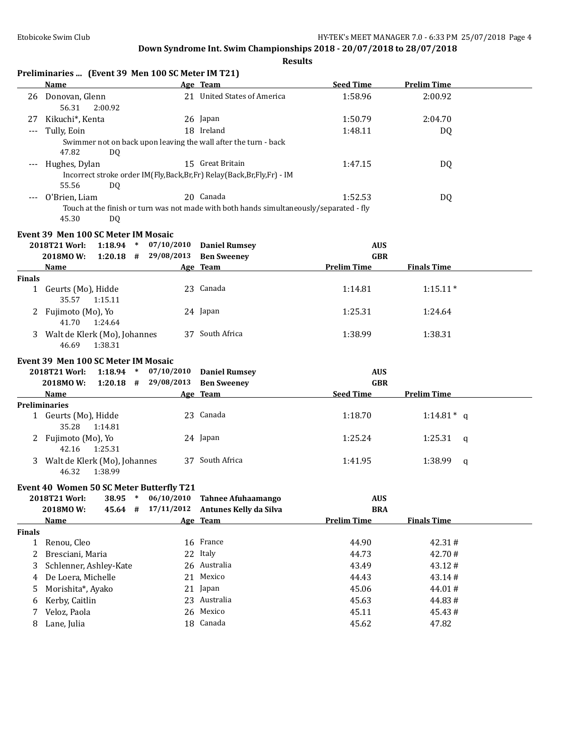|               | Preliminaries  (Event 39 Men 100 SC Meter IM T21)  |                                      |                                                                                         |                                  |                    |
|---------------|----------------------------------------------------|--------------------------------------|-----------------------------------------------------------------------------------------|----------------------------------|--------------------|
|               | <b>Name</b>                                        |                                      | Age Team                                                                                | <b>Seed Time</b>                 | <b>Prelim Time</b> |
|               | 26 Donovan, Glenn<br>56.31<br>2:00.92              |                                      | 21 United States of America                                                             | 1:58.96                          | 2:00.92            |
| 27            | Kikuchi*, Kenta                                    |                                      | 26 Japan                                                                                | 1:50.79                          | 2:04.70            |
| $---$         | Tully, Eoin                                        |                                      | 18 Ireland                                                                              | 1:48.11                          | DQ                 |
|               | 47.82<br>DQ.                                       |                                      | Swimmer not on back upon leaving the wall after the turn - back                         |                                  |                    |
|               | Hughes, Dylan                                      |                                      | 15 Great Britain                                                                        | 1:47.15                          | DQ                 |
|               |                                                    |                                      | Incorrect stroke order IM(Fly,Back,Br,Fr) Relay(Back,Br,Fly,Fr) - IM                    |                                  |                    |
|               | 55.56<br>DQ.                                       |                                      |                                                                                         |                                  |                    |
|               | O'Brien, Liam                                      |                                      | 20 Canada                                                                               | 1:52.53                          | DQ                 |
|               | 45.30<br>DQ                                        |                                      | Touch at the finish or turn was not made with both hands simultaneously/separated - fly |                                  |                    |
|               | Event 39 Men 100 SC Meter IM Mosaic                |                                      |                                                                                         |                                  |                    |
|               | 1:18.94<br>2018T21 Worl:<br>$\ast$                 | 07/10/2010                           | <b>Daniel Rumsey</b>                                                                    | <b>AUS</b>                       |                    |
|               | $1:20.18$ #<br>2018MOW:                            | 29/08/2013                           | <b>Ben Sweeney</b>                                                                      | <b>GBR</b>                       |                    |
|               | Name                                               |                                      | Age Team                                                                                | <b>Prelim Time</b>               | <b>Finals Time</b> |
| <b>Finals</b> |                                                    |                                      |                                                                                         |                                  |                    |
|               | 1 Geurts (Mo), Hidde<br>35.57<br>1:15.11           |                                      | 23 Canada                                                                               | 1:14.81                          | $1:15.11*$         |
|               | 2 Fujimoto (Mo), Yo<br>41.70<br>1:24.64            |                                      | 24 Japan                                                                                | 1:25.31                          | 1:24.64            |
|               | 3 Walt de Klerk (Mo), Johannes<br>46.69<br>1:38.31 |                                      | 37 South Africa                                                                         | 1:38.99                          | 1:38.31            |
|               |                                                    |                                      |                                                                                         |                                  |                    |
|               | Event 39 Men 100 SC Meter IM Mosaic                |                                      |                                                                                         |                                  |                    |
|               | 1:18.94<br>2018T21 Worl:<br>$\ast$                 | 07/10/2010<br>$1:20.18$ # 29/08/2013 | <b>Daniel Rumsey</b>                                                                    | <b>AUS</b>                       |                    |
|               | 2018MOW:<br>Name                                   |                                      | <b>Ben Sweeney</b><br>Age Team                                                          | <b>GBR</b><br><b>Seed Time</b>   | <b>Prelim Time</b> |
|               | <b>Preliminaries</b>                               |                                      |                                                                                         |                                  |                    |
|               | 1 Geurts (Mo), Hidde<br>35.28<br>1:14.81           |                                      | 23 Canada                                                                               | 1:18.70                          | 1:14.81 $*$ q      |
|               | 2 Fujimoto (Mo), Yo                                |                                      | 24 Japan                                                                                | 1:25.24                          | 1:25.31<br>q       |
|               | 42.16 1:25.31                                      |                                      |                                                                                         |                                  |                    |
|               | 3 Walt de Klerk (Mo), Johannes<br>46.32<br>1:38.99 |                                      | 37 South Africa                                                                         | 1:41.95                          | 1:38.99<br>q       |
|               |                                                    |                                      |                                                                                         |                                  |                    |
|               | Event 40 Women 50 SC Meter Butterfly T21           |                                      |                                                                                         |                                  |                    |
|               | 2018T21 Worl:<br>38.95<br>$\ast$                   | 06/10/2010<br>17/11/2012             | <b>Tahnee Afuhaamango</b>                                                               | <b>AUS</b>                       |                    |
|               | 2018MOW:<br>45.64 #<br><b>Name</b>                 |                                      | Antunes Kelly da Silva<br>Age Team                                                      | <b>BRA</b><br><b>Prelim Time</b> | <b>Finals Time</b> |
| <b>Finals</b> |                                                    |                                      |                                                                                         |                                  |                    |
| $\mathbf{1}$  | Renou, Cleo                                        |                                      | 16 France                                                                               | 44.90                            | 42.31#             |
| 2             | Bresciani, Maria                                   |                                      | 22 Italy                                                                                | 44.73                            | 42.70#             |
| 3             | Schlenner, Ashley-Kate                             |                                      | 26 Australia                                                                            | 43.49                            | 43.12#             |
| 4             | De Loera, Michelle                                 | 21                                   | Mexico                                                                                  | 44.43                            | 43.14#             |
| 5             | Morishita*, Ayako                                  |                                      | 21 Japan                                                                                | 45.06                            | 44.01#             |
| 6             | Kerby, Caitlin                                     |                                      | 23 Australia                                                                            | 45.63                            | 44.83#             |
| 7             | Veloz, Paola                                       | 26                                   | Mexico                                                                                  | 45.11                            | 45.43#             |
| 8             | Lane, Julia                                        |                                      | 18 Canada                                                                               | 45.62                            | 47.82              |
|               |                                                    |                                      |                                                                                         |                                  |                    |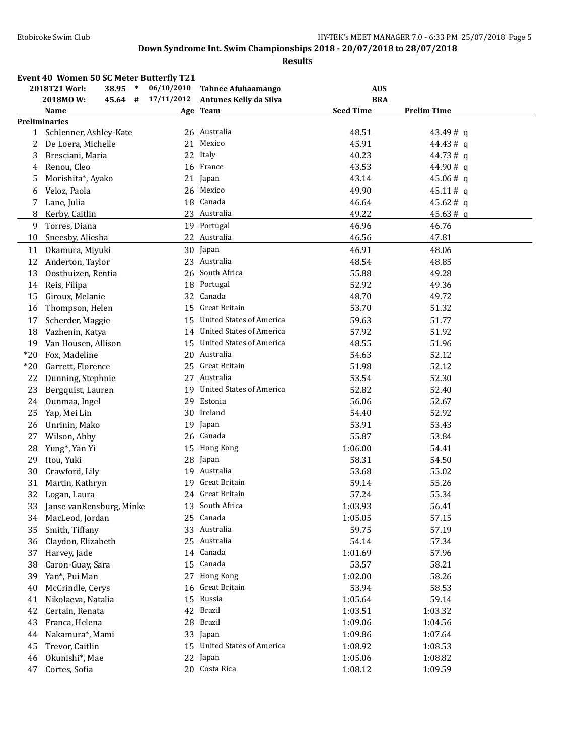|              | Event 40 Women 50 SC Meter Butterfly T21 |            |                                 |                  |                    |
|--------------|------------------------------------------|------------|---------------------------------|------------------|--------------------|
|              | 38.95 *<br>2018T21 Worl:                 | 06/10/2010 | <b>Tahnee Afuhaamango</b>       | <b>AUS</b>       |                    |
|              | 2018MOW:<br>45.64<br>#                   | 17/11/2012 | Antunes Kelly da Silva          | <b>BRA</b>       |                    |
|              | <b>Name</b>                              |            | Age Team                        | <b>Seed Time</b> | <b>Prelim Time</b> |
|              | <b>Preliminaries</b>                     |            |                                 |                  |                    |
| $\mathbf{1}$ | Schlenner, Ashley-Kate                   |            | 26 Australia                    | 48.51            | 43.49#a            |
| 2            | De Loera, Michelle                       |            | 21 Mexico                       | 45.91            | 44.43#q            |
| 3            | Bresciani, Maria                         |            | 22 Italy                        | 40.23            | 44.73#q            |
| 4            | Renou, Cleo                              |            | 16 France                       | 43.53            | 44.90#q            |
| 5            | Morishita*, Ayako                        |            | 21 Japan                        | 43.14            | 45.06#q            |
| 6            | Veloz, Paola                             | 26         | Mexico                          | 49.90            | 45.11# q           |
| 7            | Lane, Julia                              | 18         | Canada                          | 46.64            | 45.62#q            |
| 8            | Kerby, Caitlin                           |            | 23 Australia                    | 49.22            | 45.63#q            |
| 9            | Torres, Diana                            |            | 19 Portugal                     | 46.96            | 46.76              |
| 10           | Sneesby, Aliesha                         |            | 22 Australia                    | 46.56            | 47.81              |
| 11           | Okamura, Miyuki                          |            | 30 Japan                        | 46.91            | 48.06              |
| 12           | Anderton, Taylor                         |            | 23 Australia                    | 48.54            | 48.85              |
| 13           | Oosthuizen, Rentia                       | 26         | South Africa                    | 55.88            | 49.28              |
| 14           | Reis, Filipa                             | 18         | Portugal                        | 52.92            | 49.36              |
| 15           | Giroux, Melanie                          |            | 32 Canada                       | 48.70            | 49.72              |
| 16           | Thompson, Helen                          |            | 15 Great Britain                | 53.70            | 51.32              |
| 17           | Scherder, Maggie                         |            | 15 United States of America     | 59.63            | 51.77              |
| 18           | Vazhenin, Katya                          |            | 14 United States of America     | 57.92            | 51.92              |
| 19           | Van Housen, Allison                      |            | 15 United States of America     | 48.55            | 51.96              |
| $*20$        | Fox, Madeline                            |            | 20 Australia                    | 54.63            | 52.12              |
| $*20$        | Garrett, Florence                        |            | 25 Great Britain                | 51.98            | 52.12              |
| 22           | Dunning, Stephnie                        |            | 27 Australia                    | 53.54            | 52.30              |
| 23           | Bergquist, Lauren                        | 19         | <b>United States of America</b> | 52.82            | 52.40              |
| 24           | Ounmaa, Ingel                            | 29         | Estonia                         | 56.06            | 52.67              |
| 25           | Yap, Mei Lin                             |            | 30 Ireland                      | 54.40            | 52.92              |
| 26           | Unrinin, Mako                            | 19         | Japan                           | 53.91            | 53.43              |
| 27           | Wilson, Abby                             |            | 26 Canada                       | 55.87            | 53.84              |
| 28           | Yung*, Yan Yi                            |            | 15 Hong Kong                    | 1:06.00          | 54.41              |
| 29           | Itou, Yuki                               | 28         | Japan                           | 58.31            | 54.50              |
| 30           | Crawford, Lily                           |            | 19 Australia                    | 53.68            | 55.02              |
| 31           | Martin, Kathryn                          | 19         | Great Britain                   | 59.14            | 55.26              |
| 32           | Logan, Laura                             |            | 24 Great Britain                | 57.24            | 55.34              |
| 33           | Janse vanRensburg, Minke                 |            | 13 South Africa                 | 1:03.93          | 56.41              |
| 34           | MacLeod, Jordan                          | 25         | Canada                          | 1:05.05          | 57.15              |
| 35           | Smith, Tiffany                           | 33         | Australia                       | 59.75            | 57.19              |
| 36           | Claydon, Elizabeth                       | 25         | Australia                       | 54.14            | 57.34              |
| 37           | Harvey, Jade                             | 14         | Canada                          | 1:01.69          | 57.96              |
| 38           | Caron-Guay, Sara                         | 15         | Canada                          | 53.57            | 58.21              |
| 39           | Yan*, Pui Man                            | 27         | Hong Kong                       | 1:02.00          | 58.26              |
| 40           | McCrindle, Cerys                         | 16         | Great Britain                   | 53.94            | 58.53              |
| 41           | Nikolaeva, Natalia                       | 15         | Russia                          | 1:05.64          | 59.14              |
| 42           | Certain, Renata                          | 42         | Brazil                          | 1:03.51          | 1:03.32            |
| 43           | Franca, Helena                           | 28         | Brazil                          | 1:09.06          | 1:04.56            |
| 44           | Nakamura*, Mami                          | 33         | Japan                           | 1:09.86          | 1:07.64            |
| 45           | Trevor, Caitlin                          | 15         | <b>United States of America</b> | 1:08.92          | 1:08.53            |
| 46           | Okunishi*, Mae                           |            | 22 Japan                        | 1:05.06          | 1:08.82            |
| 47           | Cortes, Sofia                            |            | 20 Costa Rica                   | 1:08.12          | 1:09.59            |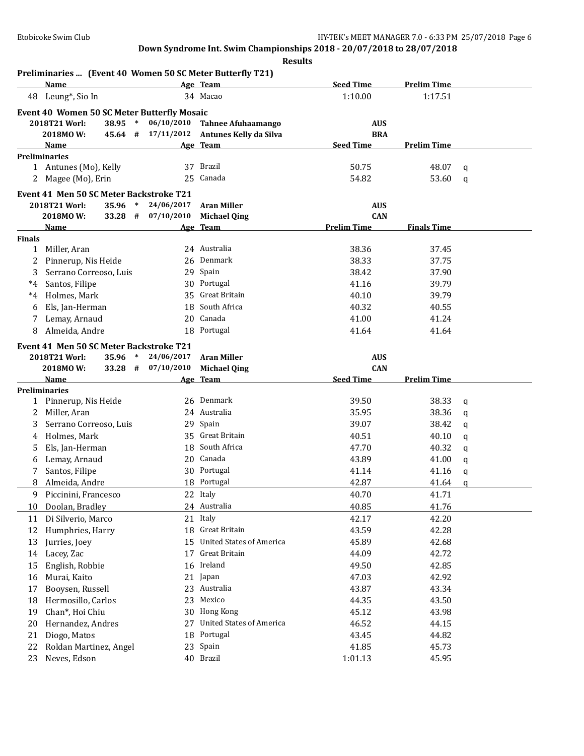|               | Preliminaries  (Event 40 Women 50 SC Meter Butterfly T21)<br>Name           |                                  | Age Team                                            | <b>Seed Time</b>         | <b>Prelim Time</b> |              |
|---------------|-----------------------------------------------------------------------------|----------------------------------|-----------------------------------------------------|--------------------------|--------------------|--------------|
| 48            | Leung*, Sio In                                                              |                                  | 34 Macao                                            | 1:10.00                  | 1:17.51            |              |
|               |                                                                             |                                  |                                                     |                          |                    |              |
|               | Event 40 Women 50 SC Meter Butterfly Mosaic                                 |                                  |                                                     |                          |                    |              |
|               | 2018T21 Worl:<br>2018MOW:<br>45.64 #                                        | 38.95 * 06/10/2010<br>17/11/2012 | <b>Tahnee Afuhaamango</b><br>Antunes Kelly da Silva | <b>AUS</b><br><b>BRA</b> |                    |              |
|               | Name                                                                        |                                  | Age Team                                            | <b>Seed Time</b>         | <b>Prelim Time</b> |              |
|               | <b>Preliminaries</b>                                                        |                                  |                                                     |                          |                    |              |
|               | 1 Antunes (Mo), Kelly                                                       |                                  | 37 Brazil                                           | 50.75                    | 48.07              | q            |
|               | 2 Magee (Mo), Erin                                                          | 25                               | Canada                                              | 54.82                    | 53.60              | $\mathbf q$  |
|               |                                                                             |                                  |                                                     |                          |                    |              |
|               | Event 41 Men 50 SC Meter Backstroke T21<br>2018T21 Worl:<br>35.96<br>$\ast$ | 24/06/2017                       | <b>Aran Miller</b>                                  | <b>AUS</b>               |                    |              |
|               | 2018MOW:<br>$33.28$ #                                                       | 07/10/2010                       | <b>Michael Qing</b>                                 | <b>CAN</b>               |                    |              |
|               | Name                                                                        |                                  | Age Team                                            | <b>Prelim Time</b>       | <b>Finals Time</b> |              |
| <b>Finals</b> |                                                                             |                                  |                                                     |                          |                    |              |
|               | 1 Miller, Aran                                                              |                                  | 24 Australia                                        | 38.36                    | 37.45              |              |
| 2             | Pinnerup, Nis Heide                                                         |                                  | 26 Denmark                                          | 38.33                    | 37.75              |              |
| 3             | Serrano Correoso, Luis                                                      |                                  | 29 Spain                                            | 38.42                    | 37.90              |              |
| $^*4$         | Santos, Filipe                                                              |                                  | 30 Portugal                                         | 41.16                    | 39.79              |              |
| $^*4$         | Holmes, Mark                                                                |                                  | 35 Great Britain                                    | 40.10                    | 39.79              |              |
| 6             | Els, Jan-Herman                                                             | 18                               | South Africa                                        | 40.32                    | 40.55              |              |
| 7             | Lemay, Arnaud                                                               | 20                               | Canada                                              | 41.00                    | 41.24              |              |
| 8             | Almeida, Andre                                                              | 18                               | Portugal                                            | 41.64                    | 41.64              |              |
|               |                                                                             |                                  |                                                     |                          |                    |              |
|               | Event 41 Men 50 SC Meter Backstroke T21                                     |                                  |                                                     |                          |                    |              |
|               | 2018T21 Worl:<br>35.96<br>$\ast$                                            | 24/06/2017<br>07/10/2010         | <b>Aran Miller</b>                                  | <b>AUS</b>               |                    |              |
|               | 2018MOW:<br>33.28 #                                                         |                                  | <b>Michael Qing</b>                                 | <b>CAN</b>               |                    |              |
|               |                                                                             |                                  |                                                     |                          |                    |              |
|               | Name                                                                        |                                  | Age Team                                            | <b>Seed Time</b>         | <b>Prelim Time</b> |              |
|               | <b>Preliminaries</b>                                                        |                                  |                                                     |                          |                    |              |
| $\mathbf{1}$  | Pinnerup, Nis Heide                                                         |                                  | 26 Denmark                                          | 39.50                    | 38.33              | q            |
| 2             | Miller, Aran                                                                |                                  | 24 Australia                                        | 35.95                    | 38.36              | q            |
| 3             | Serrano Correoso, Luis                                                      |                                  | 29 Spain                                            | 39.07                    | 38.42              | q            |
| 4             | Holmes, Mark                                                                |                                  | 35 Great Britain                                    | 40.51                    | 40.10              | q            |
| 5             | Els, Jan-Herman                                                             |                                  | 18 South Africa                                     | 47.70                    | 40.32              | q            |
| 6             | Lemay, Arnaud                                                               |                                  | 20 Canada                                           | 43.89                    | 41.00              | q            |
| 7             | Santos, Filipe                                                              |                                  | 30 Portugal                                         | 41.14                    | 41.16              | $\mathbf{q}$ |
| 8             | Almeida, Andre                                                              |                                  | 18 Portugal                                         | 42.87                    | 41.64              | $\mathbf q$  |
|               | 9 Piccinini, Francesco                                                      |                                  | 22 Italy                                            | 40.70                    | 41.71              |              |
| 10            | Doolan, Bradley                                                             |                                  | 24 Australia                                        | 40.85                    | 41.76              |              |
| 11            | Di Silverio, Marco                                                          |                                  | 21 Italy                                            | 42.17                    | 42.20              |              |
| 12            | Humphries, Harry                                                            |                                  | 18 Great Britain                                    | 43.59                    | 42.28              |              |
| 13            | Jurries, Joey                                                               |                                  | 15 United States of America                         | 45.89                    | 42.68              |              |
| 14            | Lacey, Zac                                                                  | 17                               | Great Britain                                       | 44.09                    | 42.72              |              |
| 15            | English, Robbie                                                             | 16                               | Ireland                                             | 49.50                    | 42.85              |              |
| 16            | Murai, Kaito                                                                | 21                               | Japan                                               | 47.03                    | 42.92              |              |
| 17            | Booysen, Russell                                                            | 23                               | Australia                                           | 43.87                    | 43.34              |              |
| 18            | Hermosillo, Carlos                                                          | 23                               | Mexico                                              | 44.35                    | 43.50              |              |
| 19            | Chan*, Hoi Chiu                                                             | 30                               | Hong Kong                                           | 45.12                    | 43.98              |              |
| 20            | Hernandez, Andres                                                           | 27                               | <b>United States of America</b>                     | 46.52                    | 44.15              |              |
| 21<br>22      | Diogo, Matos<br>Roldan Martinez, Angel                                      | 18<br>23                         | Portugal<br>Spain                                   | 43.45<br>41.85           | 44.82<br>45.73     |              |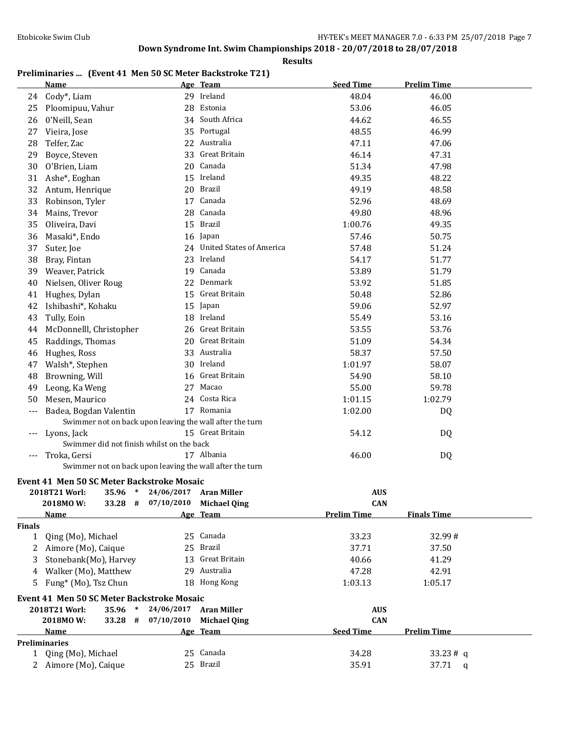**Results**

## **Preliminaries ... (Event 41 Men 50 SC Meter Backstroke T21)**

|               | <b>Name</b>                                              |            | Age Team                    | <b>Seed Time</b>   | <b>Prelim Time</b> |  |
|---------------|----------------------------------------------------------|------------|-----------------------------|--------------------|--------------------|--|
| 24            | Cody*, Liam                                              |            | 29 Ireland                  | 48.04              | 46.00              |  |
| 25            | Ploomipuu, Vahur                                         | 28         | Estonia                     | 53.06              | 46.05              |  |
| 26            | 0'Neill, Sean                                            |            | 34 South Africa             | 44.62              | 46.55              |  |
| 27            | Vieira, Jose                                             |            | 35 Portugal                 | 48.55              | 46.99              |  |
| 28            | Telfer, Zac                                              |            | 22 Australia                | 47.11              | 47.06              |  |
| 29            | Boyce, Steven                                            |            | 33 Great Britain            | 46.14              | 47.31              |  |
| 30            | O'Brien, Liam                                            |            | 20 Canada                   | 51.34              | 47.98              |  |
| 31            | Ashe*, Eoghan                                            |            | 15 Ireland                  | 49.35              | 48.22              |  |
| 32            | Antum, Henrique                                          |            | 20 Brazil                   | 49.19              | 48.58              |  |
| 33            | Robinson, Tyler                                          |            | 17 Canada                   | 52.96              | 48.69              |  |
| 34            | Mains, Trevor                                            | 28         | Canada                      | 49.80              | 48.96              |  |
| 35            | Oliveira, Davi                                           |            | 15 Brazil                   | 1:00.76            | 49.35              |  |
| 36            | Masaki*, Endo                                            |            | 16 Japan                    | 57.46              | 50.75              |  |
| 37            | Suter, Joe                                               |            | 24 United States of America | 57.48              | 51.24              |  |
| 38            | Bray, Fintan                                             |            | 23 Ireland                  | 54.17              | 51.77              |  |
|               |                                                          |            | 19 Canada                   |                    |                    |  |
| 39            | Weaver, Patrick                                          |            | 22 Denmark                  | 53.89              | 51.79              |  |
| 40            | Nielsen, Oliver Roug                                     |            |                             | 53.92              | 51.85              |  |
| 41            | Hughes, Dylan                                            | 15         | Great Britain               | 50.48              | 52.86              |  |
| 42            | Ishibashi*, Kohaku                                       |            | 15 Japan                    | 59.06              | 52.97              |  |
| 43            | Tully, Eoin                                              |            | 18 Ireland                  | 55.49              | 53.16              |  |
| 44            | McDonnelll, Christopher                                  |            | 26 Great Britain            | 53.55              | 53.76              |  |
| 45            | Raddings, Thomas                                         |            | 20 Great Britain            | 51.09              | 54.34              |  |
| 46            | Hughes, Ross                                             |            | 33 Australia                | 58.37              | 57.50              |  |
| 47            | Walsh*, Stephen                                          |            | 30 Ireland                  | 1:01.97            | 58.07              |  |
| 48            | Browning, Will                                           |            | 16 Great Britain            | 54.90              | 58.10              |  |
| 49            | Leong, Ka Weng                                           |            | 27 Macao                    | 55.00              | 59.78              |  |
| 50            | Mesen, Maurico                                           |            | 24 Costa Rica               | 1:01.15            | 1:02.79            |  |
| ---           | Badea, Bogdan Valentin                                   |            | 17 Romania                  | 1:02.00            | DQ                 |  |
|               | Swimmer not on back upon leaving the wall after the turn |            |                             |                    |                    |  |
| ---           | Lyons, Jack                                              |            | 15 Great Britain            | 54.12              | DQ                 |  |
|               | Swimmer did not finish whilst on the back                |            |                             |                    |                    |  |
| --- 1         | Troka, Gersi                                             |            | 17 Albania                  | 46.00              | DQ                 |  |
|               | Swimmer not on back upon leaving the wall after the turn |            |                             |                    |                    |  |
|               | Event 41 Men 50 SC Meter Backstroke Mosaic               |            |                             |                    |                    |  |
|               | 2018T21 Worl:<br>35.96<br>$\ast$                         | 24/06/2017 | <b>Aran Miller</b>          | <b>AUS</b>         |                    |  |
|               | 33.28 #<br>2018MOW:                                      | 07/10/2010 | <b>Michael Qing</b>         | <b>CAN</b>         |                    |  |
|               | <b>Name</b>                                              |            | Age Team                    | <b>Prelim Time</b> | <b>Finals Time</b> |  |
| <b>Finals</b> |                                                          |            |                             |                    |                    |  |
| 1             | Qing (Mo), Michael                                       |            | 25 Canada                   | 33.23              | 32.99#             |  |
| 2             | Aimore (Mo), Caique                                      |            | 25 Brazil                   | 37.71              | 37.50              |  |
| 3             | Stonebank(Mo), Harvey                                    | 13         | Great Britain               | 40.66              | 41.29              |  |
| 4             | Walker (Mo), Matthew                                     |            | 29 Australia                | 47.28              | 42.91              |  |
| 5             | Fung* (Mo), Tsz Chun                                     |            | 18 Hong Kong                | 1:03.13            | 1:05.17            |  |
|               | Event 41 Men 50 SC Meter Backstroke Mosaic               |            |                             |                    |                    |  |
|               | 2018T21 Worl:<br>35.96<br>$\ast$                         | 24/06/2017 | <b>Aran Miller</b>          | <b>AUS</b>         |                    |  |
|               | 2018MOW:<br>33.28<br>#                                   | 07/10/2010 | <b>Michael Qing</b>         | <b>CAN</b>         |                    |  |
|               | <u>Name</u>                                              |            | <u>Age Team</u>             | <b>Seed Time</b>   | <b>Prelim Time</b> |  |
|               | <b>Preliminaries</b>                                     |            |                             |                    |                    |  |
| 1             | Qing (Mo), Michael                                       |            | 25 Canada                   | 34.28              | 33.23# q           |  |
|               | 2 Aimore (Mo), Caique                                    |            | 25 Brazil                   | 35.91              | 37.71<br>q         |  |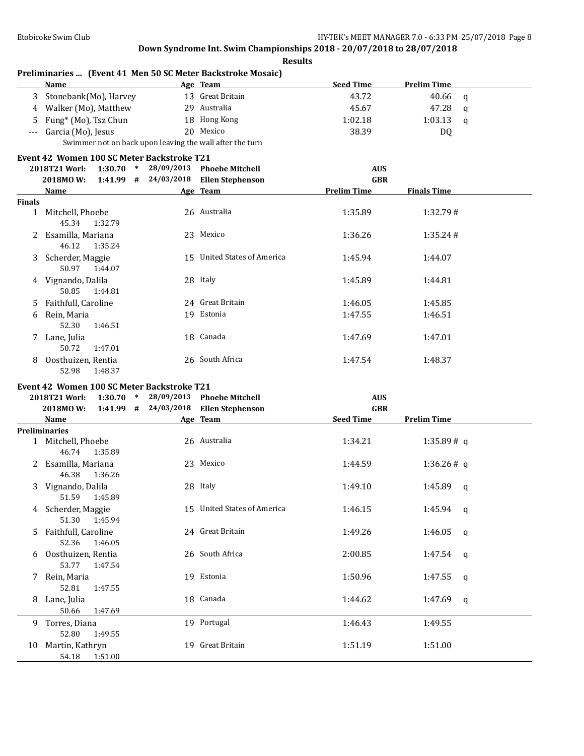|        | Name                                                     |            | Age Team                              | <b>Seed Time</b>   | <b>Prelim Time</b>      |
|--------|----------------------------------------------------------|------------|---------------------------------------|--------------------|-------------------------|
|        | 3 Stonebank(Mo), Harvey                                  |            | 13 Great Britain                      | 43.72              | 40.66<br>$\mathbf q$    |
|        | 4 Walker (Mo), Matthew                                   |            | 29 Australia                          | 45.67              | 47.28<br>$\mathsf{q}$   |
| 5.     | Fung* (Mo), Tsz Chun                                     |            | 18 Hong Kong                          | 1:02.18            | 1:03.13<br>$\mathsf{q}$ |
| $---$  | Garcia (Mo), Jesus                                       |            | 20 Mexico                             | 38.39              | DQ                      |
|        | Swimmer not on back upon leaving the wall after the turn |            |                                       |                    |                         |
|        | Event 42 Women 100 SC Meter Backstroke T21               |            |                                       |                    |                         |
|        | 2018T21 Worl:                                            |            | 1:30.70 * 28/09/2013 Phoebe Mitchell  | <b>AUS</b>         |                         |
|        | 2018MOW:                                                 |            | 1:41.99 # 24/03/2018 Ellen Stephenson | <b>GBR</b>         |                         |
|        | Name                                                     |            | Age Team                              | <b>Prelim Time</b> | <b>Finals Time</b>      |
| Finals |                                                          |            |                                       |                    |                         |
|        | 1 Mitchell, Phoebe<br>45.34<br>1:32.79                   |            | 26 Australia                          | 1:35.89            | 1:32.79#                |
|        | 2 Esamilla, Mariana<br>46.12<br>1:35.24                  |            | 23 Mexico                             | 1:36.26            | 1:35.24#                |
|        | 3 Scherder, Maggie<br>50.97<br>1:44.07                   |            | 15 United States of America           | 1:45.94            | 1:44.07                 |
|        | 4 Vignando, Dalila<br>50.85<br>1:44.81                   |            | 28 Italy                              | 1:45.89            | 1:44.81                 |
| 5.     | Faithfull, Caroline                                      |            | 24 Great Britain                      | 1:46.05            | 1:45.85                 |
| 6      | Rein, Maria<br>52.30<br>1:46.51                          |            | 19 Estonia                            | 1:47.55            | 1:46.51                 |
|        | 7 Lane, Julia<br>50.72<br>1:47.01                        |            | 18 Canada                             | 1:47.69            | 1:47.01                 |
| 8      | Oosthuizen, Rentia<br>52.98<br>1:48.37                   |            | 26 South Africa                       | 1:47.54            | 1:48.37                 |
|        | Event 42 Women 100 SC Meter Backstroke T21               |            |                                       |                    |                         |
|        | $1:30.70$ *<br>2018T21 Worl:                             | 28/09/2013 | <b>Phoebe Mitchell</b>                | <b>AUS</b>         |                         |
|        | 2018MOW:                                                 |            | 1:41.99 # 24/03/2018 Ellen Stephenson | <b>GBR</b>         |                         |
|        | Name                                                     |            | Age Team                              | <b>Seed Time</b>   | <b>Prelim Time</b>      |
|        | <b>Preliminaries</b>                                     |            |                                       |                    |                         |
|        | 1 Mitchell, Phoebe<br>46.74<br>1:35.89                   |            | 26 Australia                          | 1:34.21            | 1:35.89#q               |
|        | 2 Esamilla, Mariana<br>46.38<br>1:36.26                  |            | 23 Mexico                             | 1:44.59            | 1:36.26#q               |
|        | 3 Vignando, Dalila<br>51.59 1:45.89                      |            | 28 Italy                              | 1:49.10            | $1:45.89$ q             |
|        | 4 Scherder, Maggie<br>51.30<br>1:45.94                   |            | 15 United States of America           | 1:46.15            | 1:45.94 $q$             |
|        | 5 Faithfull, Caroline<br>52.36<br>1:46.05                |            | 24 Great Britain                      | 1:49.26            | 1:46.05<br>q            |
| 6      | Oosthuizen, Rentia<br>53.77<br>1:47.54                   |            | 26 South Africa                       | 2:00.85            | 1:47.54<br>q            |
| 7.     | Rein, Maria<br>52.81<br>1:47.55                          |            | 19 Estonia                            | 1:50.96            | 1:47.55<br>q            |
| 8.     | Lane, Julia<br>50.66<br>1:47.69                          |            | 18 Canada                             | 1:44.62            | 1:47.69<br>q            |
| 9.     | Torres, Diana<br>52.80<br>1:49.55                        |            | 19 Portugal                           | 1:46.43            | 1:49.55                 |
| 10     | Martin, Kathryn                                          |            | 19 Great Britain                      | 1:51.19            | 1:51.00                 |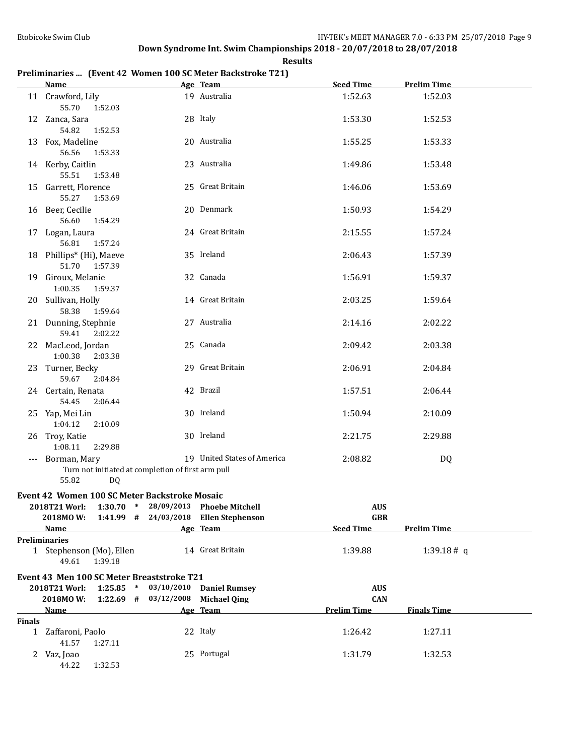## **Results Preliminaries ... (Event 42 Women 100 SC Meter Backstroke T21)**

|        | <b>Name</b>                                                                                                             |                          | Age Team                                          | <b>Seed Time</b>                             | <b>Prelim Time</b> |  |
|--------|-------------------------------------------------------------------------------------------------------------------------|--------------------------|---------------------------------------------------|----------------------------------------------|--------------------|--|
|        | 11 Crawford, Lily<br>55.70<br>1:52.03                                                                                   |                          | 19 Australia                                      | 1:52.63                                      | 1:52.03            |  |
|        | 12 Zanca, Sara<br>54.82<br>1:52.53                                                                                      |                          | 28 Italy                                          | 1:53.30                                      | 1:52.53            |  |
|        | 13 Fox, Madeline<br>56.56<br>1:53.33                                                                                    |                          | 20 Australia                                      | 1:55.25                                      | 1:53.33            |  |
|        | 14 Kerby, Caitlin<br>55.51<br>1:53.48                                                                                   |                          | 23 Australia                                      | 1:49.86                                      | 1:53.48            |  |
|        | 15 Garrett, Florence<br>55.27<br>1:53.69                                                                                |                          | 25 Great Britain                                  | 1:46.06                                      | 1:53.69            |  |
|        | 16 Beer, Cecilie<br>56.60<br>1:54.29                                                                                    |                          | 20 Denmark                                        | 1:50.93                                      | 1:54.29            |  |
|        | 17 Logan, Laura<br>56.81<br>1:57.24                                                                                     |                          | 24 Great Britain                                  | 2:15.55                                      | 1:57.24            |  |
|        | 18 Phillips* (Hi), Maeve<br>51.70<br>1:57.39                                                                            |                          | 35 Ireland                                        | 2:06.43                                      | 1:57.39            |  |
|        | 19 Giroux, Melanie<br>1:00.35<br>1:59.37                                                                                |                          | 32 Canada                                         | 1:56.91                                      | 1:59.37            |  |
|        | 20 Sullivan, Holly<br>58.38<br>1:59.64                                                                                  |                          | 14 Great Britain                                  | 2:03.25                                      | 1:59.64            |  |
|        | 21 Dunning, Stephnie<br>59.41<br>2:02.22                                                                                |                          | 27 Australia                                      | 2:14.16                                      | 2:02.22            |  |
|        | 22 MacLeod, Jordan<br>1:00.38<br>2:03.38                                                                                |                          | 25 Canada                                         | 2:09.42                                      | 2:03.38            |  |
|        | 23 Turner, Becky<br>59.67<br>2:04.84                                                                                    |                          | 29 Great Britain                                  | 2:06.91                                      | 2:04.84            |  |
|        | 24 Certain, Renata<br>54.45<br>2:06.44                                                                                  |                          | 42 Brazil                                         | 1:57.51                                      | 2:06.44            |  |
|        | 25 Yap, Mei Lin<br>1:04.12<br>2:10.09                                                                                   |                          | 30 Ireland                                        | 1:50.94                                      | 2:10.09            |  |
|        | 26 Troy, Katie<br>1:08.11<br>2:29.88                                                                                    |                          | 30 Ireland                                        | 2:21.75                                      | 2:29.88            |  |
|        | --- Borman, Mary<br>Turn not initiated at completion of first arm pull<br>55.82<br>DQ                                   |                          | 19 United States of America                       | 2:08.82                                      | DQ                 |  |
|        | Event 42 Women 100 SC Meter Backstroke Mosaic<br>2018T21 Worl: 1:30.70 * 28/09/2013 Phoebe Mitchell<br>2018MOW:<br>Name |                          | 1:41.99 # 24/03/2018 Ellen Stephenson<br>Age Team | <b>AUS</b><br><b>GBR</b><br><b>Seed Time</b> | <b>Prelim Time</b> |  |
|        | <b>Preliminaries</b>                                                                                                    |                          |                                                   |                                              |                    |  |
|        | 1 Stephenson (Mo), Ellen<br>49.61<br>1:39.18                                                                            |                          | 14 Great Britain                                  | 1:39.88                                      | 1:39.18# q         |  |
|        | Event 43 Men 100 SC Meter Breaststroke T21                                                                              |                          |                                                   |                                              |                    |  |
|        | 2018T21 Worl:                                                                                                           | $1:25.85$ * 03/10/2010   | <b>Daniel Rumsey</b>                              | <b>AUS</b>                                   |                    |  |
|        | 2018MOW:                                                                                                                | $1:22.69$ # $03/12/2008$ | <b>Michael Qing</b>                               | <b>CAN</b>                                   |                    |  |
|        | Name                                                                                                                    |                          | Age Team                                          | <b>Prelim Time</b>                           | <b>Finals Time</b> |  |
| Finals | 1 Zaffaroni, Paolo                                                                                                      |                          | 22 Italy                                          | 1:26.42                                      | 1:27.11            |  |
|        | 41.57<br>1:27.11<br>2 Vaz, Joao<br>1:32.53<br>44.22                                                                     |                          | 25 Portugal                                       | 1:31.79                                      | 1:32.53            |  |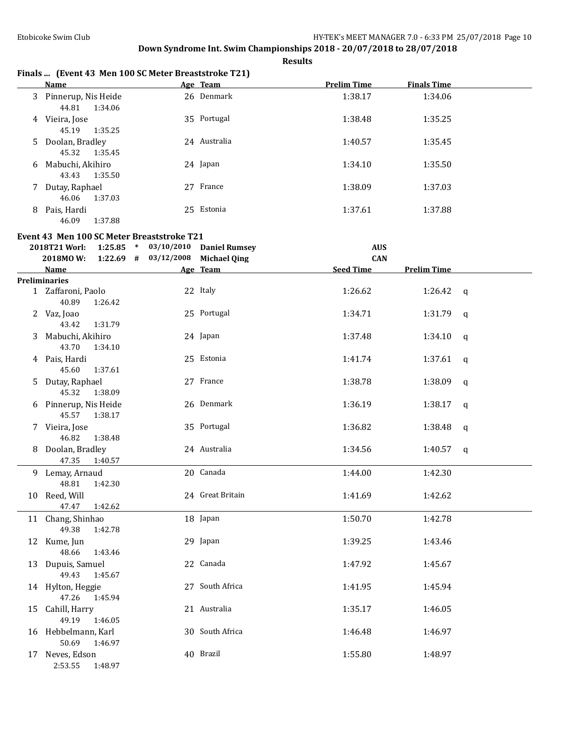**Results**

|    | Finals  (Event 43 Men 100 SC Meter Breaststroke T21) |              |                    |                    |  |
|----|------------------------------------------------------|--------------|--------------------|--------------------|--|
|    | Name                                                 | Age Team     | <b>Prelim Time</b> | <b>Finals Time</b> |  |
| 3  | Pinnerup, Nis Heide<br>1:34.06<br>44.81              | 26 Denmark   | 1:38.17            | 1:34.06            |  |
| 4  | Vieira, Jose<br>45.19<br>1:35.25                     | 35 Portugal  | 1:38.48            | 1:35.25            |  |
| 5. | Doolan, Bradley<br>45.32<br>1:35.45                  | 24 Australia | 1:40.57            | 1:35.45            |  |
| 6  | Mabuchi, Akihiro<br>1:35.50<br>43.43                 | 24 Japan     | 1:34.10            | 1:35.50            |  |
| 7  | Dutay, Raphael<br>1:37.03<br>46.06                   | France<br>27 | 1:38.09            | 1:37.03            |  |
| 8  | Pais, Hardi<br>46.09<br>1:37.88                      | 25 Estonia   | 1:37.61            | 1:37.88            |  |

#### **Event 43 Men 100 SC Meter Breaststroke T21**

**2018T21 Worl: 1:25.85 \* 03/10/2010 Daniel Rumsey AUS**

|   | 2018MOW:                                  | $1:22.69$ # $03/12/2008$ Michael Qing |                  | <b>CAN</b>       |                    |              |
|---|-------------------------------------------|---------------------------------------|------------------|------------------|--------------------|--------------|
|   | <b>Name</b>                               |                                       | Age Team         | <b>Seed Time</b> | <b>Prelim Time</b> |              |
|   | Preliminaries                             |                                       |                  |                  |                    |              |
|   | 1 Zaffaroni, Paolo<br>40.89<br>1:26.42    |                                       | 22 Italy         | 1:26.62          | 1:26.42 $q$        |              |
|   | 2 Vaz, Joao<br>43.42<br>1:31.79           |                                       | 25 Portugal      | 1:34.71          | 1:31.79            | q            |
| 3 | Mabuchi, Akihiro<br>43.70<br>1:34.10      |                                       | 24 Japan         | 1:37.48          | 1:34.10            | $\mathbf q$  |
|   | 4 Pais, Hardi<br>45.60<br>1:37.61         |                                       | 25 Estonia       | 1:41.74          | 1:37.61            | $\mathsf{q}$ |
| 5 | Dutay, Raphael<br>45.32<br>1:38.09        |                                       | 27 France        | 1:38.78          | 1:38.09            | $\mathsf{q}$ |
|   | 6 Pinnerup, Nis Heide<br>45.57<br>1:38.17 |                                       | 26 Denmark       | 1:36.19          | 1:38.17            | $\mathbf q$  |
|   | 7 Vieira, Jose<br>46.82<br>1:38.48        |                                       | 35 Portugal      | 1:36.82          | 1:38.48            | $\mathbf q$  |
|   | 8 Doolan, Bradley<br>47.35<br>1:40.57     |                                       | 24 Australia     | 1:34.56          | 1:40.57            | $\mathsf{q}$ |
|   | 9 Lemay, Arnaud<br>48.81<br>1:42.30       |                                       | 20 Canada        | 1:44.00          | 1:42.30            |              |
|   | 10 Reed, Will<br>1:42.62<br>47.47         |                                       | 24 Great Britain | 1:41.69          | 1:42.62            |              |
|   | 11 Chang, Shinhao<br>49.38<br>1:42.78     |                                       | 18 Japan         | 1:50.70          | 1:42.78            |              |
|   | 12 Kume, Jun<br>48.66<br>1:43.46          |                                       | 29 Japan         | 1:39.25          | 1:43.46            |              |
|   | 13 Dupuis, Samuel<br>49.43<br>1:45.67     |                                       | 22 Canada        | 1:47.92          | 1:45.67            |              |
|   | 14 Hylton, Heggie<br>47.26<br>1:45.94     |                                       | 27 South Africa  | 1:41.95          | 1:45.94            |              |
|   | 15 Cahill, Harry<br>49.19<br>1:46.05      |                                       | 21 Australia     | 1:35.17          | 1:46.05            |              |
|   | 16 Hebbelmann, Karl<br>50.69<br>1:46.97   |                                       | 30 South Africa  | 1:46.48          | 1:46.97            |              |
|   | 17 Neves, Edson<br>2:53.55<br>1:48.97     |                                       | 40 Brazil        | 1:55.80          | 1:48.97            |              |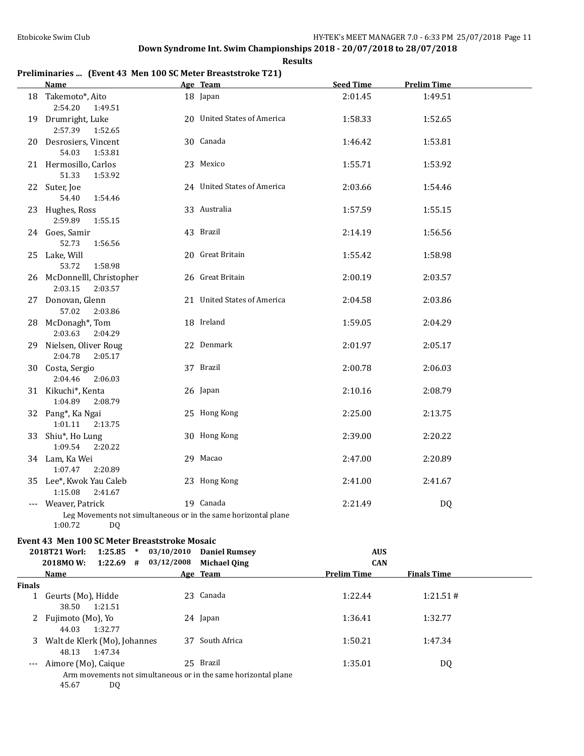**Results**

### **Preliminaries ... (Event 43 Men 100 SC Meter Breaststroke T21)**

|        | <b>Name</b>                                                                                            |            | Age Team                        | <b>Seed Time</b>                 | <b>Prelim Time</b> |  |
|--------|--------------------------------------------------------------------------------------------------------|------------|---------------------------------|----------------------------------|--------------------|--|
|        | 18 Takemoto*, Aito<br>2:54.20<br>1:49.51                                                               |            | 18 Japan                        | 2:01.45                          | 1:49.51            |  |
|        | 19 Drumright, Luke<br>2:57.39<br>1:52.65                                                               |            | 20 United States of America     | 1:58.33                          | 1:52.65            |  |
|        | 20 Desrosiers, Vincent<br>54.03<br>1:53.81                                                             |            | 30 Canada                       | 1:46.42                          | 1:53.81            |  |
|        | 21 Hermosillo, Carlos<br>51.33<br>1:53.92                                                              |            | 23 Mexico                       | 1:55.71                          | 1:53.92            |  |
|        | 22 Suter, Joe<br>54.40<br>1:54.46                                                                      |            | 24 United States of America     | 2:03.66                          | 1:54.46            |  |
|        | 23 Hughes, Ross<br>2:59.89<br>1:55.15                                                                  |            | 33 Australia                    | 1:57.59                          | 1:55.15            |  |
|        | 24 Goes, Samir<br>52.73<br>1:56.56                                                                     |            | 43 Brazil                       | 2:14.19                          | 1:56.56            |  |
|        | 25 Lake, Will<br>53.72<br>1:58.98                                                                      |            | 20 Great Britain                | 1:55.42                          | 1:58.98            |  |
|        | 26 McDonnelll, Christopher<br>2:03.15<br>2:03.57                                                       |            | 26 Great Britain                | 2:00.19                          | 2:03.57            |  |
|        | 27 Donovan, Glenn<br>57.02<br>2:03.86                                                                  |            | 21 United States of America     | 2:04.58                          | 2:03.86            |  |
|        | 28 McDonagh*, Tom<br>2:03.63<br>2:04.29                                                                |            | 18 Ireland                      | 1:59.05                          | 2:04.29            |  |
|        | 29 Nielsen, Oliver Roug<br>2:04.78<br>2:05.17                                                          |            | 22 Denmark                      | 2:01.97                          | 2:05.17            |  |
|        | 30 Costa, Sergio<br>2:04.46<br>2:06.03                                                                 |            | 37 Brazil                       | 2:00.78                          | 2:06.03            |  |
|        | 31 Kikuchi*, Kenta<br>1:04.89<br>2:08.79                                                               |            | 26 Japan                        | 2:10.16                          | 2:08.79            |  |
|        | 32 Pang*, Ka Ngai<br>1:01.11<br>2:13.75                                                                |            | 25 Hong Kong                    | 2:25.00                          | 2:13.75            |  |
|        | 33 Shiu*, Ho Lung<br>1:09.54<br>2:20.22                                                                |            | 30 Hong Kong                    | 2:39.00                          | 2:20.22            |  |
|        | 34 Lam, Ka Wei<br>1:07.47<br>2:20.89                                                                   |            | 29 Macao                        | 2:47.00                          | 2:20.89            |  |
|        | 35 Lee*, Kwok Yau Caleb<br>1:15.08<br>2:41.67                                                          |            | 23 Hong Kong                    | 2:41.00                          | 2:41.67            |  |
|        | --- Weaver, Patrick<br>Leg Movements not simultaneous or in the same horizontal plane<br>1:00.72<br>DQ |            | 19 Canada                       | 2:21.49                          | D <sub>0</sub>     |  |
|        | Event 43 Men 100 SC Meter Breaststroke Mosaic                                                          |            |                                 |                                  |                    |  |
|        | $1:25.85$ *<br>2018T21 Worl:                                                                           | 03/10/2010 | <b>Daniel Rumsey</b>            | <b>AUS</b>                       |                    |  |
|        | 2018MOW:<br>$1:22.69$ #<br>Name                                                                        | 03/12/2008 | <b>Michael Qing</b><br>Age Team | <b>CAN</b><br><b>Prelim Time</b> | <b>Finals Time</b> |  |
| Finals |                                                                                                        |            |                                 |                                  |                    |  |
|        | 1 Geurts (Mo), Hidde<br>38.50<br>1:21.51                                                               |            | 23 Canada                       | 1:22.44                          | 1:21.51#           |  |
| 2      | Fujimoto (Mo), Yo<br>44.03<br>1:32.77                                                                  |            | 24 Japan                        | 1:36.41                          | 1:32.77            |  |

3 Walt de Klerk (Mo), Johannes 37 South Africa 1:50.21 1:47.34 48.13 1:47.34 -- Aimore (Mo), Caique 25 Brazil 1:35.01 DQ Arm movements not simultaneous or in the same horizontal plane

45.67 DQ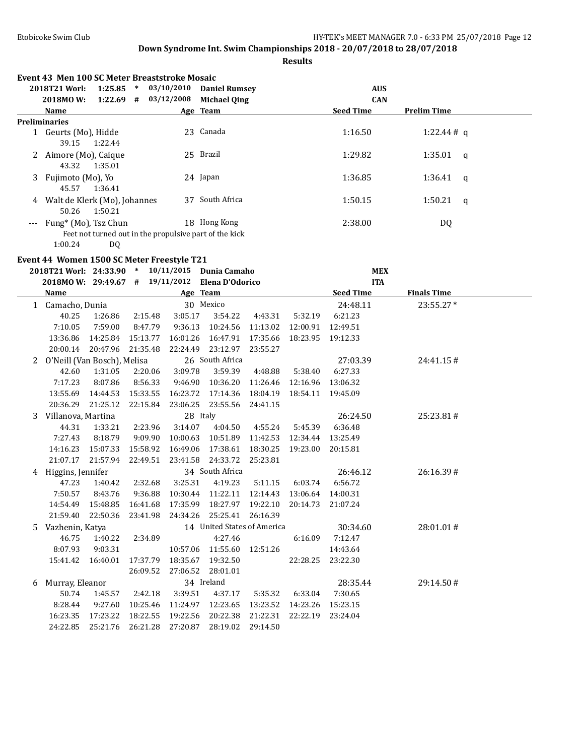|   |                                         |                   |          | Event 43 Men 100 SC Meter Breaststroke Mosaic |                                                                                |          |          |                    |                    |              |
|---|-----------------------------------------|-------------------|----------|-----------------------------------------------|--------------------------------------------------------------------------------|----------|----------|--------------------|--------------------|--------------|
|   | 2018T21 Worl:                           |                   |          |                                               | 1:25.85 * 03/10/2010 Daniel Rumsey                                             |          |          | <b>AUS</b>         |                    |              |
|   | 2018MOW:                                |                   |          |                                               | 1:22.69 # 03/12/2008 Michael Qing                                              |          |          | <b>CAN</b>         |                    |              |
|   | Name                                    |                   |          |                                               | Age Team                                                                       |          |          | <b>Seed Time</b>   | <b>Prelim Time</b> |              |
|   | <b>Preliminaries</b>                    |                   |          |                                               |                                                                                |          |          |                    |                    |              |
|   | 1 Geurts (Mo), Hidde<br>39.15           | 1:22.44           |          |                                               | 23 Canada                                                                      |          |          | 1:16.50            | 1:22.44#q          |              |
|   | 2 Aimore (Mo), Caique<br>43.32          | 1:35.01           |          |                                               | 25 Brazil                                                                      |          |          | 1:29.82            | 1:35.01            | $\mathsf{q}$ |
|   | 3 Fujimoto (Mo), Yo<br>45.57            | 1:36.41           |          |                                               | 24 Japan                                                                       |          |          | 1:36.85            | 1:36.41            | $\mathbf{q}$ |
|   | 4 Walt de Klerk (Mo), Johannes<br>50.26 | 1:50.21           |          |                                               | 37 South Africa                                                                |          |          | 1:50.15            | 1:50.21            | $\mathsf{q}$ |
|   | Fung* (Mo), Tsz Chun                    |                   |          |                                               | 18 Hong Kong                                                                   |          |          | 2:38.00            | DQ                 |              |
|   | 1:00.24                                 | DQ                |          |                                               | Feet not turned out in the propulsive part of the kick                         |          |          |                    |                    |              |
|   |                                         |                   |          | Event 44 Women 1500 SC Meter Freestyle T21    | 2018T21 Worl: 24:33.90 * 10/11/2015 Dunia Camaho                               |          |          | <b>MEX</b>         |                    |              |
|   |                                         |                   |          |                                               | 2018MO W: 29:49.67 # 19/11/2012 Elena D'Odorico                                |          |          | <b>ITA</b>         |                    |              |
|   | Name                                    |                   |          |                                               | Age Team                                                                       |          |          | <b>Seed Time</b>   | <b>Finals Time</b> |              |
|   | 1 Camacho, Dunia                        |                   |          |                                               | 30 Mexico                                                                      |          |          | 24:48.11           | 23:55.27*          |              |
|   | 40.25                                   | 1:26.86           | 2:15.48  | 3:05.17                                       | 3:54.22                                                                        | 4:43.31  | 5:32.19  | 6:21.23            |                    |              |
|   | 7:10.05                                 | 7:59.00           | 8:47.79  | 9:36.13                                       | 10:24.56                                                                       | 11:13.02 | 12:00.91 | 12:49.51           |                    |              |
|   |                                         | 13:36.86 14:25.84 | 15:13.77 | 16:01.26                                      | 16:47.91                                                                       | 17:35.66 |          | 18:23.95  19:12.33 |                    |              |
|   |                                         | 20:00.14 20:47.96 | 21:35.48 | 22:24.49                                      | 23:12.97                                                                       | 23:55.27 |          |                    |                    |              |
| 2 | O'Neill (Van Bosch), Melisa             |                   |          |                                               | 26 South Africa                                                                |          |          | 27:03.39           | 24:41.15#          |              |
|   | 42.60                                   | 1:31.05           | 2:20.06  | 3:09.78                                       | 3:59.39                                                                        | 4:48.88  | 5:38.40  | 6:27.33            |                    |              |
|   | 7:17.23                                 | 8:07.86           | 8:56.33  | 9:46.90                                       | 10:36.20                                                                       | 11:26.46 | 12:16.96 | 13:06.32           |                    |              |
|   | 13:55.69                                | 14:44.53          | 15:33.55 | 16:23.72                                      | 17:14.36                                                                       | 18:04.19 | 18:54.11 | 19:45.09           |                    |              |
|   | 20:36.29                                | 21:25.12          | 22:15.84 | 23:06.25                                      | 23:55.56                                                                       | 24:41.15 |          |                    |                    |              |
|   | Villanova, Martina                      |                   |          |                                               | 28 Italy                                                                       |          |          | 26:24.50           | 25:23.81#          |              |
|   | 44.31                                   | 1:33.21           | 2:23.96  | 3:14.07                                       | 4:04.50                                                                        | 4:55.24  | 5:45.39  | 6:36.48            |                    |              |
|   | 7:27.43                                 | 8:18.79           | 9:09.90  | 10:00.63                                      | 10:51.89                                                                       | 11:42.53 | 12:34.44 | 13:25.49           |                    |              |
|   | 14:16.23                                | 15:07.33          | 15:58.92 | 16:49.06                                      | 17:38.61                                                                       | 18:30.25 | 19:23.00 | 20:15.81           |                    |              |
|   | 21:07.17                                | 21:57.94          | 22:49.51 | 23:41.58                                      | 24:33.72                                                                       | 25:23.81 |          |                    |                    |              |
|   | 4 Higgins, Jennifer                     |                   |          |                                               | 34 South Africa                                                                |          |          | 26:46.12           | 26:16.39#          |              |
|   | 47.23                                   | 1:40.42           | 2:32.68  | 3:25.31                                       | 4:19.23                                                                        | 5:11.15  | 6:03.74  | 6:56.72            |                    |              |
|   | 7:50.57                                 | 8:43.76           | 9:36.88  |                                               | 10:30.44 11:22.11 12:14.43                                                     |          |          | 13:06.64 14:00.31  |                    |              |
|   |                                         |                   |          |                                               | 14:54.49  15:48.85  16:41.68  17:35.99  18:27.97  19:22.10  20:14.73  21:07.24 |          |          |                    |                    |              |
|   |                                         |                   |          |                                               | 21:59.40 22:50.36 23:41.98 24:34.26 25:25.41                                   | 26:16.39 |          |                    |                    |              |
|   | 5 Vazhenin, Katya                       |                   |          |                                               | 14 United States of America                                                    |          |          | 30:34.60           | 28:01.01#          |              |
|   | 46.75                                   | 1:40.22           | 2:34.89  |                                               | 4:27.46                                                                        |          | 6:16.09  | 7:12.47            |                    |              |
|   | 8:07.93                                 | 9:03.31           |          | 10:57.06                                      | 11:55.60                                                                       | 12:51.26 |          | 14:43.64           |                    |              |
|   | 15:41.42                                | 16:40.01          |          | 17:37.79  18:35.67                            | 19:32.50                                                                       |          | 22:28.25 | 23:22.30           |                    |              |
|   |                                         |                   | 26:09.52 |                                               | 27:06.52 28:01.01                                                              |          |          |                    |                    |              |
| 6 | Murray, Eleanor                         |                   |          |                                               | 34 Ireland                                                                     |          |          | 28:35.44           | 29:14.50#          |              |
|   | 50.74                                   | 1:45.57           | 2:42.18  | 3:39.51                                       | 4:37.17                                                                        | 5:35.32  | 6:33.04  | 7:30.65            |                    |              |
|   | 8:28.44                                 | 9:27.60           | 10:25.46 | 11:24.97                                      | 12:23.65                                                                       | 13:23.52 | 14:23.26 | 15:23.15           |                    |              |
|   | 16:23.35 17:23.22                       |                   | 18:22.55 | 19:22.56                                      | 20:22.38                                                                       | 21:22.31 | 22:22.19 | 23:24.04           |                    |              |
|   | 24:22.85                                | 25:21.76          | 26:21.28 | 27:20.87                                      | 28:19.02                                                                       | 29:14.50 |          |                    |                    |              |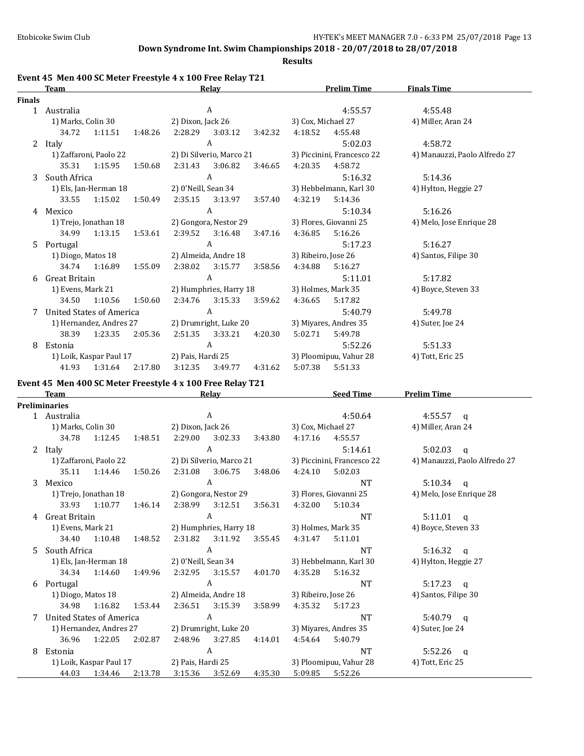**Results**

### **Event 45 Men 400 SC Meter Freestyle 4 x 100 Free Relay T21**

|               | <b>Team</b>              |                         |         |                     | Relay                    |         |                     | <b>Prelim Time</b>         | <b>Finals Time</b>            |
|---------------|--------------------------|-------------------------|---------|---------------------|--------------------------|---------|---------------------|----------------------------|-------------------------------|
| <b>Finals</b> |                          |                         |         |                     |                          |         |                     |                            |                               |
| $\mathbf{1}$  | Australia                |                         |         |                     | A                        |         |                     | 4:55.57                    | 4:55.48                       |
|               | 1) Marks, Colin 30       |                         |         | 2) Dixon, Jack 26   |                          |         | 3) Cox, Michael 27  |                            | 4) Miller, Aran 24            |
|               | 34.72                    | 1:11.51                 | 1:48.26 | 2:28.29             | 3:03.12                  | 3:42.32 | 4:18.52             | 4:55.48                    |                               |
| 2             | Italy                    |                         |         |                     | A                        |         |                     | 5:02.03                    | 4:58.72                       |
|               |                          | 1) Zaffaroni, Paolo 22  |         |                     | 2) Di Silverio, Marco 21 |         |                     | 3) Piccinini, Francesco 22 | 4) Manauzzi, Paolo Alfredo 27 |
|               | 35.31                    | 1:15.95                 | 1:50.68 | 2:31.43             | 3:06.82                  | 3:46.65 | 4:20.35             | 4:58.72                    |                               |
| 3             | South Africa             |                         |         |                     | A                        |         |                     | 5:16.32                    | 5:14.36                       |
|               |                          | 1) Els, Jan-Herman 18   |         | 2) 0'Neill, Sean 34 |                          |         |                     | 3) Hebbelmann, Karl 30     | 4) Hylton, Heggie 27          |
|               | 33.55                    | 1:15.02                 | 1:50.49 | 2:35.15             | 3:13.97                  | 3:57.40 | 4:32.19             | 5:14.36                    |                               |
| 4             | Mexico                   |                         |         |                     | A                        |         |                     | 5:10.34                    | 5:16.26                       |
|               |                          | 1) Trejo, Jonathan 18   |         |                     | 2) Gongora, Nestor 29    |         |                     | 3) Flores, Giovanni 25     | 4) Melo, Jose Enrique 28      |
|               | 34.99                    | 1:13.15                 | 1:53.61 | 2:39.52             | 3:16.48                  | 3:47.16 | 4:36.85             | 5:16.26                    |                               |
| 5.            | Portugal                 |                         |         |                     | A                        |         |                     | 5:17.23                    | 5:16.27                       |
|               | 1) Diogo, Matos 18       |                         |         |                     | 2) Almeida, Andre 18     |         | 3) Ribeiro, Jose 26 |                            | 4) Santos, Filipe 30          |
|               | 34.74                    | 1:16.89                 | 1:55.09 | 2:38.02             | 3:15.77                  | 3:58.56 | 4:34.88             | 5:16.27                    |                               |
| 6             | Great Britain            |                         |         |                     | A                        |         |                     | 5:11.01                    | 5:17.82                       |
|               | 1) Evens, Mark 21        |                         |         |                     | 2) Humphries, Harry 18   |         | 3) Holmes, Mark 35  |                            | 4) Boyce, Steven 33           |
|               | 34.50                    | 1:10.56                 | 1:50.60 | 2:34.76             | 3:15.33                  | 3:59.62 | 4:36.65             | 5:17.82                    |                               |
| 7             | United States of America |                         |         |                     | A                        |         |                     | 5:40.79                    | 5:49.78                       |
|               |                          | 1) Hernandez, Andres 27 |         |                     | 2) Drumright, Luke 20    |         |                     | 3) Miyares, Andres 35      | 4) Suter, Joe 24              |
|               | 38.39                    | 1:23.35                 | 2:05.36 | 2:51.35             | 3:33.21                  | 4:20.30 | 5:02.71             | 5:49.78                    |                               |
| 8             | Estonia                  |                         |         |                     | A                        |         |                     | 5:52.26                    | 5:51.33                       |
|               |                          | 1) Loik, Kaspar Paul 17 |         | 2) Pais, Hardi 25   |                          |         |                     | 3) Ploomipuu, Vahur 28     | 4) Tott, Eric 25              |
|               | 41.93                    | 1:31.64                 | 2:17.80 | 3:12.35             | 3:49.77                  | 4:31.62 | 5:07.38             | 5:51.33                    |                               |

## **Event 45 Men 400 SC Meter Freestyle 4 x 100 Free Relay T21**

|    | <b>Team</b>              |                         |         |                     | Relay                    |         |                     | <b>Seed Time</b>           | <b>Prelim Time</b>       |                               |
|----|--------------------------|-------------------------|---------|---------------------|--------------------------|---------|---------------------|----------------------------|--------------------------|-------------------------------|
|    | Preliminaries            |                         |         |                     |                          |         |                     |                            |                          |                               |
|    | 1 Australia              |                         |         |                     | A                        |         |                     | 4:50.64                    | 4:55.57                  | a                             |
|    | 1) Marks, Colin 30       |                         |         | 2) Dixon, Jack 26   |                          |         | 3) Cox, Michael 27  |                            | 4) Miller, Aran 24       |                               |
|    | 34.78                    | 1:12.45                 | 1:48.51 | 2:29.00             | 3:02.33                  | 3:43.80 | 4:17.16             | 4:55.57                    |                          |                               |
| 2  | Italy                    |                         |         |                     | A                        |         |                     | 5:14.61                    | 5:02.03                  | q                             |
|    |                          | 1) Zaffaroni, Paolo 22  |         |                     | 2) Di Silverio, Marco 21 |         |                     | 3) Piccinini, Francesco 22 |                          | 4) Manauzzi, Paolo Alfredo 27 |
|    | 35.11                    | 1:14.46                 | 1:50.26 | 2:31.08             | 3:06.75                  | 3:48.06 | 4:24.10             | 5:02.03                    |                          |                               |
| 3  | Mexico                   |                         |         |                     | A                        |         |                     | <b>NT</b>                  | 5:10.34 $q$              |                               |
|    |                          | 1) Trejo, Jonathan 18   |         |                     | 2) Gongora, Nestor 29    |         |                     | 3) Flores, Giovanni 25     | 4) Melo, Jose Enrique 28 |                               |
|    | 33.93                    | 1:10.77                 | 1:46.14 |                     | 2:38.99 3:12.51          | 3:56.31 | 4:32.00             | 5:10.34                    |                          |                               |
| 4  | <b>Great Britain</b>     |                         |         |                     | A                        |         |                     | <b>NT</b>                  | 5:11.01                  | $\alpha$                      |
|    | 1) Evens, Mark 21        |                         |         |                     | 2) Humphries, Harry 18   |         | 3) Holmes, Mark 35  |                            | 4) Boyce, Steven 33      |                               |
|    | 34.40                    | 1:10.48                 | 1:48.52 | 2:31.82             | 3:11.92                  | 3:55.45 | 4:31.47             | 5:11.01                    |                          |                               |
| 5. | South Africa             |                         |         |                     | A                        |         |                     | <b>NT</b>                  | 5:16.32                  | $\alpha$                      |
|    |                          | 1) Els, Jan-Herman 18   |         | 2) 0'Neill, Sean 34 |                          |         |                     | 3) Hebbelmann, Karl 30     | 4) Hylton, Heggie 27     |                               |
|    | 34.34                    | 1:14.60                 | 1:49.96 | 2:32.95             | 3:15.57                  | 4:01.70 | 4:35.28             | 5:16.32                    |                          |                               |
| 6  | Portugal                 |                         |         |                     | A                        |         |                     | <b>NT</b>                  | 5:17.23                  | $\mathbf{q}$                  |
|    | 1) Diogo, Matos 18       |                         |         |                     | 2) Almeida, Andre 18     |         | 3) Ribeiro, Jose 26 |                            | 4) Santos, Filipe 30     |                               |
|    | 34.98                    | 1:16.82                 | 1:53.44 |                     | 2:36.51 3:15.39          | 3:58.99 | 4:35.32             | 5:17.23                    |                          |                               |
| 7  | United States of America |                         |         |                     | A                        |         |                     | <b>NT</b>                  | $5:40.79$ q              |                               |
|    |                          | 1) Hernandez, Andres 27 |         |                     | 2) Drumright, Luke 20    |         |                     | 3) Miyares, Andres 35      | 4) Suter, Joe 24         |                               |
|    | 36.96                    | 1:22.05                 | 2:02.87 | 2:48.96             | 3:27.85                  | 4:14.01 | 4:54.64             | 5:40.79                    |                          |                               |
| 8  | Estonia                  |                         |         |                     | A                        |         |                     | <b>NT</b>                  | 5:52.26                  | a                             |
|    |                          | 1) Loik, Kaspar Paul 17 |         | 2) Pais, Hardi 25   |                          |         |                     | 3) Ploomipuu, Vahur 28     | 4) Tott, Eric 25         |                               |
|    | 44.03                    | 1:34.46                 | 2:13.78 | 3:15.36             | 3:52.69                  | 4:35.30 | 5:09.85             | 5:52.26                    |                          |                               |